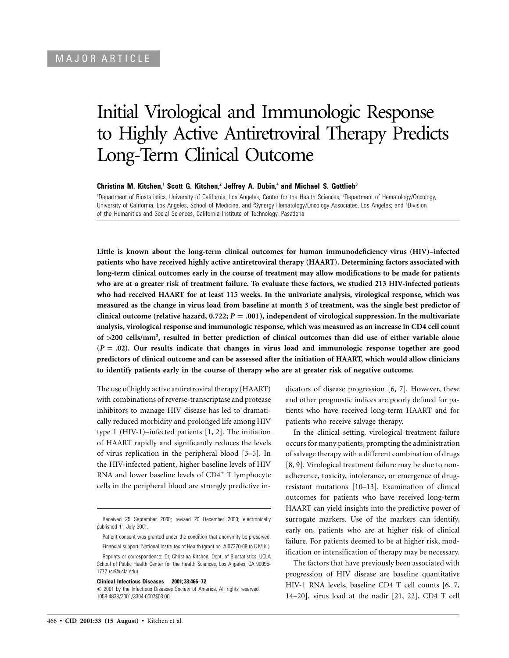# Initial Virological and Immunologic Response to Highly Active Antiretroviral Therapy Predicts Long-Term Clinical Outcome

**Christina M. Kitchen,<sup>1</sup> Scott G. Kitchen,<sup>2</sup> Jeffrey A. Dubin,<sup>4</sup> and Michael S. Gottlieb<sup>3</sup>** 

<sup>1</sup>Department of Biostatistics, University of California, Los Angeles, Center for the Health Sciences, <sup>2</sup>Department of Hematology/Oncology, University of California, Los Angeles, School of Medicine, and <sup>3</sup>Synergy Hematology/Oncology Associates, Los Angeles; and <sup>4</sup>Division of the Humanities and Social Sciences, California Institute of Technology, Pasadena

**Little is known about the long-term clinical outcomes for human immunodeficiency virus (HIV)–infected patients who have received highly active antiretroviral therapy (HAART). Determining factors associated with long-term clinical outcomes early in the course of treatment may allow modifications to be made for patients who are at a greater risk of treatment failure. To evaluate these factors, we studied 213 HIV-infected patients who had received HAART for at least 115 weeks. In the univariate analysis, virological response, which was measured as the change in virus load from baseline at month 3 of treatment, was the single best predictor of** clinical outcome (relative hazard,  $0.722$ ;  $P = .001$ ), independent of virological suppression. In the multivariate **analysis, virological response and immunologic response, which was measured as an increase in CD4 cell count of** 1**200 cells/mm<sup>3</sup> , resulted in better prediction of clinical outcomes than did use of either variable alone**  $(P = .02)$ . Our results indicate that changes in virus load and immunologic response together are good **predictors of clinical outcome and can be assessed after the initiation of HAART, which would allow clinicians to identify patients early in the course of therapy who are at greater risk of negative outcome.**

The use of highly active antiretroviral therapy (HAART) with combinations of reverse-transcriptase and protease inhibitors to manage HIV disease has led to dramatically reduced morbidity and prolonged life among HIV type 1 (HIV-1)–infected patients [1, 2]. The initiation of HAART rapidly and significantly reduces the levels of virus replication in the peripheral blood [3–5]. In the HIV-infected patient, higher baseline levels of HIV RNA and lower baseline levels of  $CD4^+$  T lymphocyte cells in the peripheral blood are strongly predictive in-

#### **Clinical Infectious Diseases 2001; 33:466–72**

dicators of disease progression [6, 7]. However, these and other prognostic indices are poorly defined for patients who have received long-term HAART and for patients who receive salvage therapy.

In the clinical setting, virological treatment failure occurs for many patients, prompting the administration of salvage therapy with a different combination of drugs [8, 9]. Virological treatment failure may be due to nonadherence, toxicity, intolerance, or emergence of drugresistant mutations [10–13]. Examination of clinical outcomes for patients who have received long-term HAART can yield insights into the predictive power of surrogate markers. Use of the markers can identify, early on, patients who are at higher risk of clinical failure. For patients deemed to be at higher risk, modification or intensification of therapy may be necessary.

The factors that have previously been associated with progression of HIV disease are baseline quantitative HIV-1 RNA levels, baseline CD4 T cell counts [6, 7, 14–20], virus load at the nadir [21, 22], CD4 T cell

Received 25 September 2000; revised 20 December 2000; electronically published 11 July 2001.

Patient consent was granted under the condition that anonymity be preserved. Financial support: National Institutes of Health (grant no. AI07370-09 to C.M.K.).

Reprints or correspondence: Dr. Christina Kitchen, Dept. of Biostatistics, UCLA School of Public Health Center for the Health Sciences, Los Angeles, CA 90095- 1772 (cr@ucla.edu).

 $\odot$  2001 by the Infectious Diseases Society of America. All rights reserved. 1058-4838/2001/3304-0007\$03.00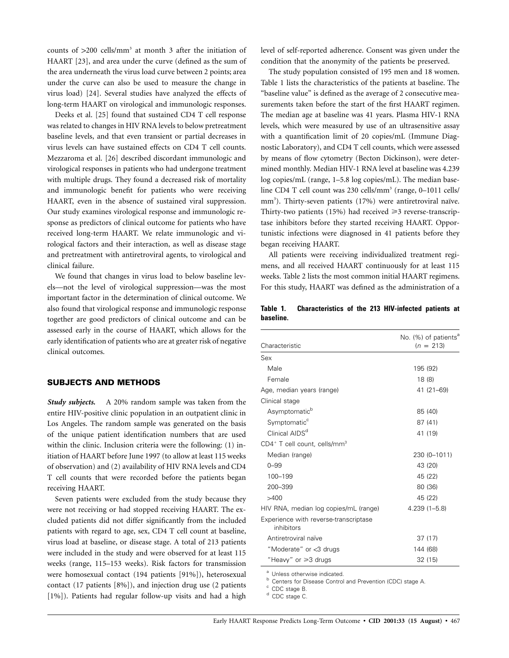counts of  $>200$  cells/mm<sup>3</sup> at month 3 after the initiation of HAART [23], and area under the curve (defined as the sum of the area underneath the virus load curve between 2 points; area under the curve can also be used to measure the change in virus load) [24]. Several studies have analyzed the effects of long-term HAART on virological and immunologic responses.

Deeks et al. [25] found that sustained CD4 T cell response was related to changes in HIV RNA levels to below pretreatment baseline levels, and that even transient or partial decreases in virus levels can have sustained effects on CD4 T cell counts. Mezzaroma et al. [26] described discordant immunologic and virological responses in patients who had undergone treatment with multiple drugs. They found a decreased risk of mortality and immunologic benefit for patients who were receiving HAART, even in the absence of sustained viral suppression. Our study examines virological response and immunologic response as predictors of clinical outcome for patients who have received long-term HAART. We relate immunologic and virological factors and their interaction, as well as disease stage and pretreatment with antiretroviral agents, to virological and clinical failure.

We found that changes in virus load to below baseline levels—not the level of virological suppression—was the most important factor in the determination of clinical outcome. We also found that virological response and immunologic response together are good predictors of clinical outcome and can be assessed early in the course of HAART, which allows for the early identification of patients who are at greater risk of negative clinical outcomes.

### **SUBJECTS AND METHODS**

*Study subjects.* A 20% random sample was taken from the entire HIV-positive clinic population in an outpatient clinic in Los Angeles. The random sample was generated on the basis of the unique patient identification numbers that are used within the clinic. Inclusion criteria were the following: (1) initiation of HAART before June 1997 (to allow at least 115 weeks of observation) and (2) availability of HIV RNA levels and CD4 T cell counts that were recorded before the patients began receiving HAART.

Seven patients were excluded from the study because they were not receiving or had stopped receiving HAART. The excluded patients did not differ significantly from the included patients with regard to age, sex, CD4 T cell count at baseline, virus load at baseline, or disease stage. A total of 213 patients were included in the study and were observed for at least 115 weeks (range, 115–153 weeks). Risk factors for transmission were homosexual contact (194 patients [91%]), heterosexual contact (17 patients [8%]), and injection drug use (2 patients [1%]). Patients had regular follow-up visits and had a high

level of self-reported adherence. Consent was given under the condition that the anonymity of the patients be preserved.

The study population consisted of 195 men and 18 women. Table 1 lists the characteristics of the patients at baseline. The "baseline value" is defined as the average of 2 consecutive measurements taken before the start of the first HAART regimen. The median age at baseline was 41 years. Plasma HIV-1 RNA levels, which were measured by use of an ultrasensitive assay with a quantification limit of 20 copies/mL (Immune Diagnostic Laboratory), and CD4 T cell counts, which were assessed by means of flow cytometry (Becton Dickinson), were determined monthly. Median HIV-1 RNA level at baseline was 4.239 log copies/mL (range, 1–5.8 log copies/mL). The median baseline CD4 T cell count was 230 cells/mm<sup>3</sup> (range, 0–1011 cells/ mm<sup>3</sup>). Thirty-seven patients (17%) were antiretroviral naïve. Thirty-two patients  $(15%)$  had received  $\geq 3$  reverse-transcriptase inhibitors before they started receiving HAART. Opportunistic infections were diagnosed in 41 patients before they began receiving HAART.

All patients were receiving individualized treatment regimens, and all received HAART continuously for at least 115 weeks. Table 2 lists the most common initial HAART regimens. For this study, HAART was defined as the administration of a

**Table 1. Characteristics of the 213 HIV-infected patients at baseline.**

| Characteristic                                       | No. (%) of patients <sup>a</sup><br>$(n = 213)$ |
|------------------------------------------------------|-------------------------------------------------|
| Sex                                                  |                                                 |
| Male                                                 | 195 (92)                                        |
| Female                                               | 18(8)                                           |
| Age, median years (range)                            | 41 (21-69)                                      |
| Clinical stage                                       |                                                 |
| Asymptomatic <sup>b</sup>                            | 85 (40)                                         |
| Symptomatic <sup>c</sup>                             | 87 (41)                                         |
| Clinical AIDS <sup>d</sup>                           | 41 (19)                                         |
| CD4 <sup>+</sup> T cell count, cells/mm <sup>3</sup> |                                                 |
| Median (range)                                       | 230 (0-1011)                                    |
| $0 - 99$                                             | 43 (20)                                         |
| 100-199                                              | 45 (22)                                         |
| 200-399                                              | 80 (36)                                         |
| >400                                                 | 45 (22)                                         |
| HIV RNA, median log copies/mL (range)                | $4.239(1 - 5.8)$                                |
| Experience with reverse-transcriptase<br>inhibitors  |                                                 |
| Antiretroviral naïve                                 | 37 (17)                                         |
| "Moderate" or <3 drugs                               | 144 (68)                                        |
| "Heavy" or ≥3 drugs                                  | 32 (15)                                         |
|                                                      |                                                 |

<sup>a</sup> Unless otherwise indicated.<br><sup>b</sup> Centers for Disease Control and Prevention (CDC) stage A.<br><sup>c</sup> CDC stage B.<br>d CDC stage C.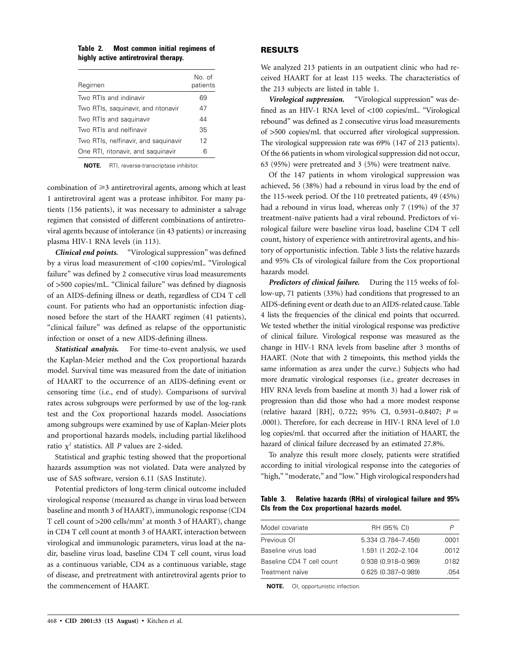| Table 2. |  |                                       | Most common initial regimens of |  |
|----------|--|---------------------------------------|---------------------------------|--|
|          |  | highly active antiretroviral therapy. |                                 |  |

| Regimen                              | No of<br>patients |
|--------------------------------------|-------------------|
| Two RTIs and indinavir               | 69                |
| Two RTIs, saquinavir, and ritonavir  | 47                |
| Two RTIs and saguinavir              | 44                |
| Two RTIs and nelfinavir              | 35                |
| Two RTIs, nelfinavir, and saquinavir | 12                |
| One RTI, ritonavir, and saquinavir   | 6                 |

**NOTE.** RTI, reverse-transcriptase inhibitor.

combination of ≥3 antiretroviral agents, among which at least 1 antiretroviral agent was a protease inhibitor. For many patients (156 patients), it was necessary to administer a salvage regimen that consisted of different combinations of antiretroviral agents because of intolerance (in 43 patients) or increasing plasma HIV-1 RNA levels (in 113).

*Clinical end points.* "Virological suppression" was defined by a virus load measurement of <100 copies/mL. "Virological failure" was defined by 2 consecutive virus load measurements of 1500 copies/mL. "Clinical failure" was defined by diagnosis of an AIDS-defining illness or death, regardless of CD4 T cell count. For patients who had an opportunistic infection diagnosed before the start of the HAART regimen (41 patients), "clinical failure" was defined as relapse of the opportunistic infection or onset of a new AIDS-defining illness.

*Statistical analysis.* For time-to-event analysis, we used the Kaplan-Meier method and the Cox proportional hazards model. Survival time was measured from the date of initiation of HAART to the occurrence of an AIDS-defining event or censoring time (i.e., end of study). Comparisons of survival rates across subgroups were performed by use of the log-rank test and the Cox proportional hazards model. Associations among subgroups were examined by use of Kaplan-Meier plots and proportional hazards models, including partial likelihood ratio  $\chi^2$  statistics. All *P* values are 2-sided.

Statistical and graphic testing showed that the proportional hazards assumption was not violated. Data were analyzed by use of SAS software, version 6.11 (SAS Institute).

Potential predictors of long-term clinical outcome included virological response (measured as change in virus load between baseline and month 3 of HAART), immunologic response (CD4 T cell count of  $>$ 200 cells/mm<sup>3</sup> at month 3 of HAART), change in CD4 T cell count at month 3 of HAART, interaction between virological and immunologic parameters, virus load at the nadir, baseline virus load, baseline CD4 T cell count, virus load as a continuous variable, CD4 as a continuous variable, stage of disease, and pretreatment with antiretroviral agents prior to the commencement of HAART.

## **RESULTS**

We analyzed 213 patients in an outpatient clinic who had received HAART for at least 115 weeks. The characteristics of the 213 subjects are listed in table 1.

*Virological suppression.* "Virological suppression" was defined as an HIV-1 RNA level of <100 copies/mL. "Virological rebound" was defined as 2 consecutive virus load measurements of 1500 copies/mL that occurred after virological suppression. The virological suppression rate was 69% (147 of 213 patients). Of the 66 patients in whom virological suppression did not occur, 63 (95%) were pretreated and 3 (5%) were treatment naïve.

Of the 147 patients in whom virological suppression was achieved, 56 (38%) had a rebound in virus load by the end of the 115-week period. Of the 110 pretreated patients, 49 (45%) had a rebound in virus load, whereas only 7 (19%) of the 37 treatment-naïve patients had a viral rebound. Predictors of virological failure were baseline virus load, baseline CD4 T cell count, history of experience with antiretroviral agents, and history of opportunistic infection. Table 3 lists the relative hazards and 95% CIs of virological failure from the Cox proportional hazards model.

*Predictors of clinical failure.* During the 115 weeks of follow-up, 71 patients (33%) had conditions that progressed to an AIDS-defining event or death due to an AIDS-related cause. Table 4 lists the frequencies of the clinical end points that occurred. We tested whether the initial virological response was predictive of clinical failure. Virological response was measured as the change in HIV-1 RNA levels from baseline after 3 months of HAART. (Note that with 2 timepoints, this method yields the same information as area under the curve.) Subjects who had more dramatic virological responses (i.e., greater decreases in HIV RNA levels from baseline at month 3) had a lower risk of progression than did those who had a more modest response (relative hazard [RH], 0.722; 95% CI, 0.5931-0.8407;  $P =$ .0001). Therefore, for each decrease in HIV-1 RNA level of 1.0 log copies/mL that occurred after the initiation of HAART, the hazard of clinical failure decreased by an estimated 27.8%.

To analyze this result more closely, patients were stratified according to initial virological response into the categories of "high," "moderate," and "low." High virological responders had

**Table 3. Relative hazards (RHs) of virological failure and 95% CIs from the Cox proportional hazards model.**

| Model covariate           | RH (95% CI)            | P     |
|---------------------------|------------------------|-------|
| Previous OI               | 5.334 (3.784-7.456)    | .0001 |
| Baseline virus load       | 1.591 (1.202-2.104)    | .0012 |
| Baseline CD4 T cell count | $0.938(0.918 - 0.969)$ | .0182 |
| Treatment naïve           | 0.625 (0.387-0.989)    | 054   |

**NOTE.** OI, opportunistic infection.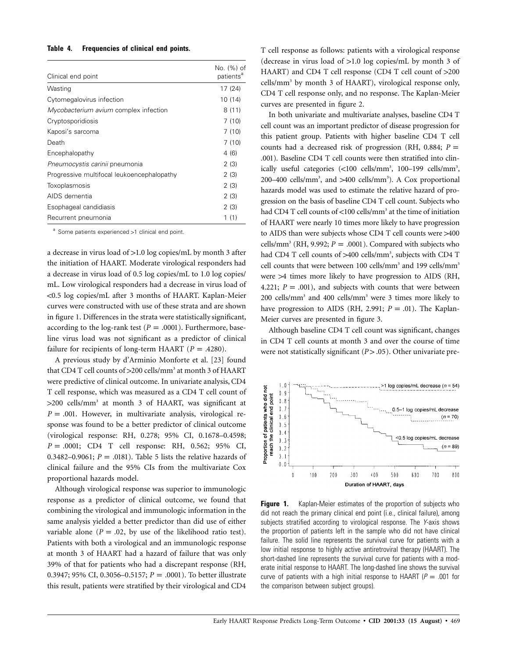#### **Table 4. Frequencies of clinical end points.**

| Clinical end point                         | No. (%) of<br>patients <sup>a</sup> |
|--------------------------------------------|-------------------------------------|
| Wasting                                    | 17 (24)                             |
| Cytomegalovirus infection                  | 10 (14)                             |
| Mycobacterium avium complex infection      | 8(11)                               |
| Cryptosporidiosis                          | 7(10)                               |
| Kaposi's sarcoma                           | 7(10)                               |
| Death                                      | 7(10)                               |
| Encephalopathy                             | 4(6)                                |
| Pneumocystis carinii pneumonia             | 2(3)                                |
| Progressive multifocal leukoencephalopathy | 2(3)                                |
| Toxoplasmosis                              | 2(3)                                |
| AIDS dementia                              | 2(3)                                |
| Esophageal candidiasis                     | 2(3)                                |
| Recurrent pneumonia                        | 1(1)                                |

 $a$  Some patients experienced  $>1$  clinical end point.

a decrease in virus load of  $>1.0$  log copies/mL by month 3 after the initiation of HAART. Moderate virological responders had a decrease in virus load of 0.5 log copies/mL to 1.0 log copies/ mL. Low virological responders had a decrease in virus load of !0.5 log copies/mL after 3 months of HAART. Kaplan-Meier curves were constructed with use of these strata and are shown in figure 1. Differences in the strata were statistically significant, according to the log-rank test ( $P = .0001$ ). Furthermore, baseline virus load was not significant as a predictor of clinical failure for recipients of long-term HAART ( $P = .4280$ ).

A previous study by d'Arminio Monforte et al. [23] found that CD4 T cell counts of >200 cells/mm<sup>3</sup> at month 3 of HAART were predictive of clinical outcome. In univariate analysis, CD4 T cell response, which was measured as a CD4 T cell count of  $>200$  cells/mm<sup>3</sup> at month 3 of HAART, was significant at  $P = .001$ . However, in multivariate analysis, virological response was found to be a better predictor of clinical outcome (virological response: RH, 0.278; 95% CI, 0.1678–0.4598;  $P = .0001$ ; CD4 T cell response: RH, 0.562; 95% CI, 0.3482–0.9061;  $P = .0181$ ). Table 5 lists the relative hazards of clinical failure and the 95% CIs from the multivariate Cox proportional hazards model.

Although virological response was superior to immunologic response as a predictor of clinical outcome, we found that combining the virological and immunologic information in the same analysis yielded a better predictor than did use of either variable alone ( $P = .02$ , by use of the likelihood ratio test). Patients with both a virological and an immunologic response at month 3 of HAART had a hazard of failure that was only 39% of that for patients who had a discrepant response (RH, 0.3947; 95% CI, 0.3056-0.5157; *P* = .0001). To better illustrate this result, patients were stratified by their virological and CD4

T cell response as follows: patients with a virological response (decrease in virus load of  $>1.0$  log copies/mL by month 3 of HAART) and CD4 T cell response (CD4 T cell count of  $>200$ cells/mm<sup>3</sup> by month 3 of HAART), virological response only, CD4 T cell response only, and no response. The Kaplan-Meier curves are presented in figure 2.

In both univariate and multivariate analyses, baseline CD4 T cell count was an important predictor of disease progression for this patient group. Patients with higher baseline CD4 T cell counts had a decreased risk of progression (RH, 0.884;  $P =$ .001). Baseline CD4 T cell counts were then stratified into clinically useful categories (<100 cells/mm<sup>3</sup>, 100-199 cells/mm<sup>3</sup>, 200-400 cells/mm<sup>3</sup>, and >400 cells/mm<sup>3</sup>). A Cox proportional hazards model was used to estimate the relative hazard of progression on the basis of baseline CD4 T cell count. Subjects who had CD4 T cell counts of  $<$ 100 cells/mm<sup>3</sup> at the time of initiation of HAART were nearly 10 times more likely to have progression to AIDS than were subjects whose CD4 T cell counts were  $>400$ cells/mm<sup>3</sup> (RH, 9.992;  $P = .0001$ ). Compared with subjects who had CD4 T cell counts of >400 cells/mm<sup>3</sup>, subjects with CD4 T cell counts that were between 100 cells/mm<sup>3</sup> and 199 cells/mm<sup>3</sup> were  $>4$  times more likely to have progression to AIDS (RH, 4.221;  $P = .001$ ), and subjects with counts that were between 200 cells/mm<sup>3</sup> and 400 cells/mm<sup>3</sup> were 3 times more likely to have progression to AIDS (RH, 2.991;  $P = .01$ ). The Kaplan-Meier curves are presented in figure 3.

Although baseline CD4 T cell count was significant, changes in CD4 T cell counts at month 3 and over the course of time were not statistically significant ( $P > .05$ ). Other univariate pre-



**Figure 1.** Kaplan-Meier estimates of the proportion of subjects who did not reach the primary clinical end point (i.e., clinical failure), among subjects stratified according to virological response. The *Y*-axis shows the proportion of patients left in the sample who did not have clinical failure. The solid line represents the survival curve for patients with a low initial response to highly active antiretroviral therapy (HAART). The short-dashed line represents the survival curve for patients with a moderate initial response to HAART. The long-dashed line shows the survival curve of patients with a high initial response to HAART ( $P = .001$  for the comparison between subject groups).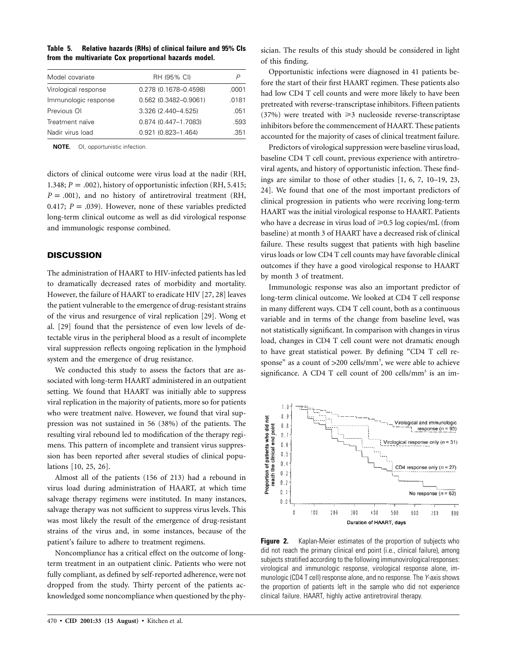| Table 5. | <b>Relative hazards (RHs) of clinical failure and 95% CIs</b> |  |
|----------|---------------------------------------------------------------|--|
|          | from the multivariate Cox proportional hazards model.         |  |

| Model covariate      | RH (95% CI)               |       |
|----------------------|---------------------------|-------|
| Virological response | 0.278 (0.1678-0.4598)     | .0001 |
| Immunologic response | 0.562 (0.3482-0.9061)     | .0181 |
| Previous OI          | 3.326 (2.440-4.525)       | .051  |
| Treatment naïve      | 0.874 (0.447-1.7083)      | .593  |
| Nadir virus load     | $0.921$ $(0.823 - 1.464)$ | .351  |

**NOTE.** OI, opportunistic infection.

dictors of clinical outcome were virus load at the nadir (RH, 1.348;  $P = .002$ ), history of opportunistic infection (RH, 5.415;  $P = .001$ ), and no history of antiretroviral treatment (RH, 0.417;  $P = .039$ ). However, none of these variables predicted long-term clinical outcome as well as did virological response and immunologic response combined.

## **DISCUSSION**

The administration of HAART to HIV-infected patients has led to dramatically decreased rates of morbidity and mortality. However, the failure of HAART to eradicate HIV [27, 28] leaves the patient vulnerable to the emergence of drug-resistant strains of the virus and resurgence of viral replication [29]. Wong et al. [29] found that the persistence of even low levels of detectable virus in the peripheral blood as a result of incomplete viral suppression reflects ongoing replication in the lymphoid system and the emergence of drug resistance.

We conducted this study to assess the factors that are associated with long-term HAART administered in an outpatient setting. We found that HAART was initially able to suppress viral replication in the majority of patients, more so for patients who were treatment naïve. However, we found that viral suppression was not sustained in 56 (38%) of the patients. The resulting viral rebound led to modification of the therapy regimens. This pattern of incomplete and transient virus suppression has been reported after several studies of clinical populations [10, 25, 26].

Almost all of the patients (156 of 213) had a rebound in virus load during administration of HAART, at which time salvage therapy regimens were instituted. In many instances, salvage therapy was not sufficient to suppress virus levels. This was most likely the result of the emergence of drug-resistant strains of the virus and, in some instances, because of the patient's failure to adhere to treatment regimens.

Noncompliance has a critical effect on the outcome of longterm treatment in an outpatient clinic. Patients who were not fully compliant, as defined by self-reported adherence, were not dropped from the study. Thirty percent of the patients acknowledged some noncompliance when questioned by the physician. The results of this study should be considered in light of this finding.

Opportunistic infections were diagnosed in 41 patients before the start of their first HAART regimen. These patients also had low CD4 T cell counts and were more likely to have been pretreated with reverse-transcriptase inhibitors. Fifteen patients  $(37%)$  were treated with  $\geq 3$  nucleoside reverse-transcriptase inhibitors before the commencement of HAART. These patients accounted for the majority of cases of clinical treatment failure.

Predictors of virological suppression were baseline virus load, baseline CD4 T cell count, previous experience with antiretroviral agents, and history of opportunistic infection. These findings are similar to those of other studies [1, 6, 7, 10–19, 23, 24]. We found that one of the most important predictors of clinical progression in patients who were receiving long-term HAART was the initial virological response to HAART. Patients who have a decrease in virus load of ≥0.5 log copies/mL (from baseline) at month 3 of HAART have a decreased risk of clinical failure. These results suggest that patients with high baseline virus loads or low CD4 T cell counts may have favorable clinical outcomes if they have a good virological response to HAART by month 3 of treatment.

Immunologic response was also an important predictor of long-term clinical outcome. We looked at CD4 T cell response in many different ways. CD4 T cell count, both as a continuous variable and in terms of the change from baseline level, was not statistically significant. In comparison with changes in virus load, changes in CD4 T cell count were not dramatic enough to have great statistical power. By defining "CD4 T cell response" as a count of  $>200$  cells/mm<sup>3</sup>, we were able to achieve significance. A CD4 T cell count of 200 cells/ $mm<sup>3</sup>$  is an im-



**Figure 2.** Kaplan-Meier estimates of the proportion of subjects who did not reach the primary clinical end point (i.e., clinical failure), among subjects stratified according to the following immunovirological responses: virological and immunologic response, virological response alone, immunologic (CD4 T cell) response alone, and no response. The *Y*-axis shows the proportion of patients left in the sample who did not experience clinical failure. HAART, highly active antiretroviral therapy.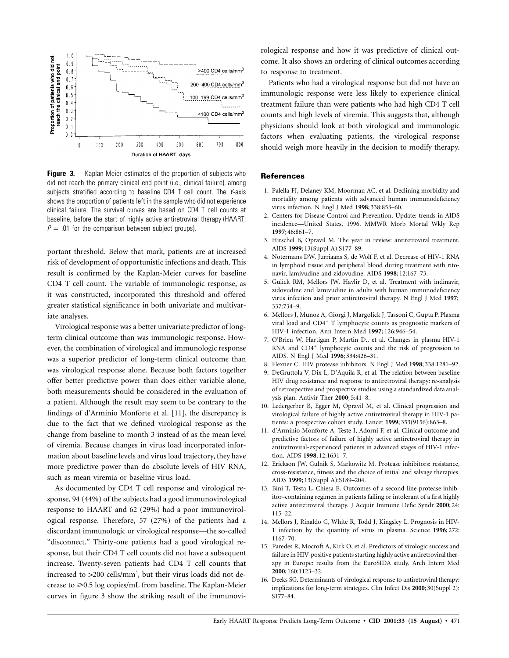

**Figure 3.** Kaplan-Meier estimates of the proportion of subjects who did not reach the primary clinical end point (i.e., clinical failure), among subjects stratified according to baseline CD4 T cell count. The *Y*-axis shows the proportion of patients left in the sample who did not experience clinical failure. The survival curves are based on CD4 T cell counts at baseline, before the start of highly active antiretroviral therapy (HAART;  $P = .01$  for the comparison between subject groups).

portant threshold. Below that mark, patients are at increased risk of development of opportunistic infections and death. This result is confirmed by the Kaplan-Meier curves for baseline CD4 T cell count. The variable of immunologic response, as it was constructed, incorporated this threshold and offered greater statistical significance in both univariate and multivariate analyses.

Virological response was a better univariate predictor of longterm clinical outcome than was immunologic response. However, the combination of virological and immunologic response was a superior predictor of long-term clinical outcome than was virological response alone. Because both factors together offer better predictive power than does either variable alone, both measurements should be considered in the evaluation of a patient. Although the result may seem to be contrary to the findings of d'Arminio Monforte et al. [11], the discrepancy is due to the fact that we defined virological response as the change from baseline to month 3 instead of as the mean level of viremia. Because changes in virus load incorporated information about baseline levels and virus load trajectory, they have more predictive power than do absolute levels of HIV RNA, such as mean viremia or baseline virus load.

As documented by CD4 T cell response and virological response, 94 (44%) of the subjects had a good immunovirological response to HAART and 62 (29%) had a poor immunovirological response. Therefore, 57 (27%) of the patients had a discordant immunologic or virological response—the so-called "disconnect." Thirty-one patients had a good virological response, but their CD4 T cell counts did not have a subsequent increase. Twenty-seven patients had CD4 T cell counts that increased to >200 cells/mm<sup>3</sup>, but their virus loads did not decrease to ≥0.5 log copies/mL from baseline. The Kaplan-Meier curves in figure 3 show the striking result of the immunovirological response and how it was predictive of clinical outcome. It also shows an ordering of clinical outcomes according to response to treatment.

Patients who had a virological response but did not have an immunologic response were less likely to experience clinical treatment failure than were patients who had high CD4 T cell counts and high levels of viremia. This suggests that, although physicians should look at both virological and immunologic factors when evaluating patients, the virological response should weigh more heavily in the decision to modify therapy.

#### **References**

- 1. Palella FJ, Delaney KM, Moorman AC, et al. Declining morbidity and mortality among patients with advanced human immunodeficiency virus infection. N Engl J Med **1998**; 338:853–60.
- 2. Centers for Disease Control and Prevention. Update: trends in AIDS incidence—United States, 1996. MMWR Morb Mortal Wkly Rep **1997**; 46:861–7.
- 3. Hirschel B, Opravil M. The year in review: antiretroviral treatment. AIDS **1999**; 13(Suppl A):S177–89.
- 4. Notermans DW, Jurriaans S, de Wolf F, et al. Decrease of HIV-1 RNA in lymphoid tissue and peripheral blood during treatment with ritonavir, lamivudine and zidovudine. AIDS **1998**; 12:167–73.
- 5. Gulick RM, Mellors JW, Havlir D, et al. Treatment with indinavir, zidovudine and lamivudine in adults with human immunodeficiency virus infection and prior antiretroviral therapy. N Engl J Med **1997**; 337:734–9.
- 6. Mellors J, Munoz A, Giorgi J, Margolick J, Tassoni C, Gupta P. Plasma viral load and CD4<sup>+</sup> T lymphocyte counts as prognostic markers of HIV-1 infection. Ann Intern Med **1997**; 126:946–54.
- 7. O'Brien W, Hartigan P, Martin D., et al. Changes in plasma HIV-1 RNA and  $CD4^+$  lymphocyte counts and the risk of progression to AIDS. N Engl J Med **1996**; 334:426–31.
- 8. Flexner C. HIV protease inhibitors. N Engl J Med **1998**; 338:1281–92.
- 9. DeGruttola V, Dix L, D'Aquila R, et al. The relation between baseline HIV drug resistance and response to antiretroviral therapy: re-analysis of retrospective and prospective studies using a standardized data analysis plan. Antivir Ther **2000**; 5:41–8.
- 10. Ledergerber B, Egger M, Opravil M, et al. Clinical progression and virological failure of highly active antiretroviral therapy in HIV-1 patients: a prospective cohort study. Lancet **1999**; 353(9156):863–8.
- 11. d'Arminio Monforte A, Teste I, Adorni F, et al. Clinical outcome and predictive factors of failure of highly active antiretroviral therapy in antiretroviral-experienced patients in advanced stages of HIV-1 infection. AIDS **1998**; 12:1631–7.
- 12. Erickson JW, Gulnik S, Markowitz M. Protease inhibitors: resistance, cross-resistance, fitness and the choice of initial and salvage therapies. AIDS **1999**; 13(Suppl A):S189–204.
- 13. Bini T, Testa L, Chiesa E. Outcomes of a second-line protease inhibitor–containing regimen in patients failing or intolerant of a first highly active antiretroviral therapy. J Acquir Immune Defic Syndr **2000**; 24: 115–22.
- 14. Mellors J, Rinaldo C, White R, Todd J, Kingsley L. Prognosis in HIV-1 infection by the quantity of virus in plasma. Science **1996**; 272: 1167–70.
- 15. Paredes R, Mocroft A, Kirk O, et al. Predictors of virologic success and failure in HIV-positive patients starting highly active antiretroviral therapy in Europe: results from the EuroSIDA study. Arch Intern Med **2000**; 160:1123–32.
- 16. Deeks SG. Determinants of virological response to antiretroviral therapy: implications for long-term strategies. Clin Infect Dis **2000**; 30(Suppl 2): S177–84.